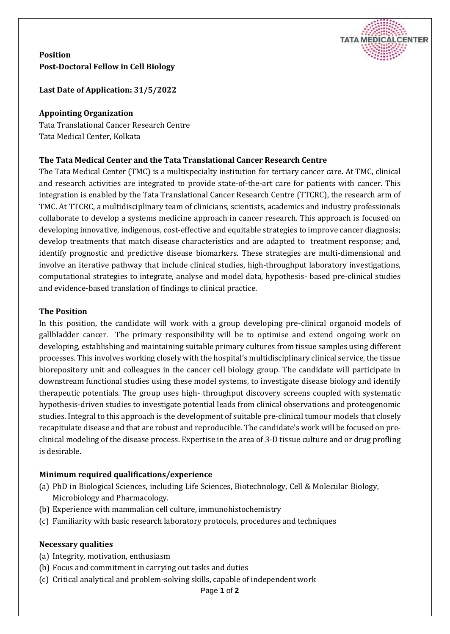

**Position Post-Doctoral Fellow in Cell Biology**

**Last Date of Application: 31/5/2022**

### **Appointing Organization**

Tata Translational Cancer Research Centre Tata Medical Center, Kolkata

## **The Tata Medical Center and the Tata Translational Cancer Research Centre**

The Tata Medical Center (TMC) is a multispecialty institution for tertiary cancer care. At TMC, clinical and research activities are integrated to provide state-of-the-art care for patients with cancer. This integration is enabled by the Tata Translational Cancer Research Centre (TTCRC), the research arm of TMC. At TTCRC, a multidisciplinary team of clinicians, scientists, academics and industry professionals collaborate to develop a systems medicine approach in cancer research. This approach is focused on developing innovative, indigenous, cost-effective and equitable strategies to improve cancer diagnosis; develop treatments that match disease characteristics and are adapted to treatment response; and, identify prognostic and predictive disease biomarkers. These strategies are multi-dimensional and involve an iterative pathway that include clinical studies, high-throughput laboratory investigations, computational strategies to integrate, analyse and model data, hypothesis- based pre-clinical studies and evidence-based translation of findings to clinical practice.

#### **The Position**

In this position, the candidate will work with a group developing pre-clinical organoid models of gallbladder cancer. The primary responsibility will be to optimise and extend ongoing work on developing, establishing and maintaining suitable primary cultures from tissue samples using different processes. This involves working closely with the hospital's multidisciplinary clinical service, the tissue biorepository unit and colleagues in the cancer cell biology group. The candidate will participate in downstream functional studies using these model systems, to investigate disease biology and identify therapeutic potentials. The group uses high- throughput discovery screens coupled with systematic hypothesis-driven studies to investigate potential leads from clinical observations and proteogenomic studies. Integral to this approach is the development of suitable pre-clinical tumour models that closely recapitulate disease and that are robust and reproducible. The candidate's work will be focused on preclinical modeling of the disease process. Expertise in the area of 3-D tissue culture and or drug profling is desirable.

## **Minimum required qualifications/experience**

- (a) PhD in Biological Sciences, including Life Sciences, Biotechnology, Cell & Molecular Biology, Microbiology and Pharmacology.
- (b) Experience with mammalian cell culture, immunohistochemistry
- (c) Familiarity with basic research laboratory protocols, procedures and techniques

#### **Necessary qualities**

- (a) Integrity, motivation, enthusiasm
- (b) Focus and commitment in carrying out tasks and duties
- (c) Critical analytical and problem-solving skills, capable of independent work